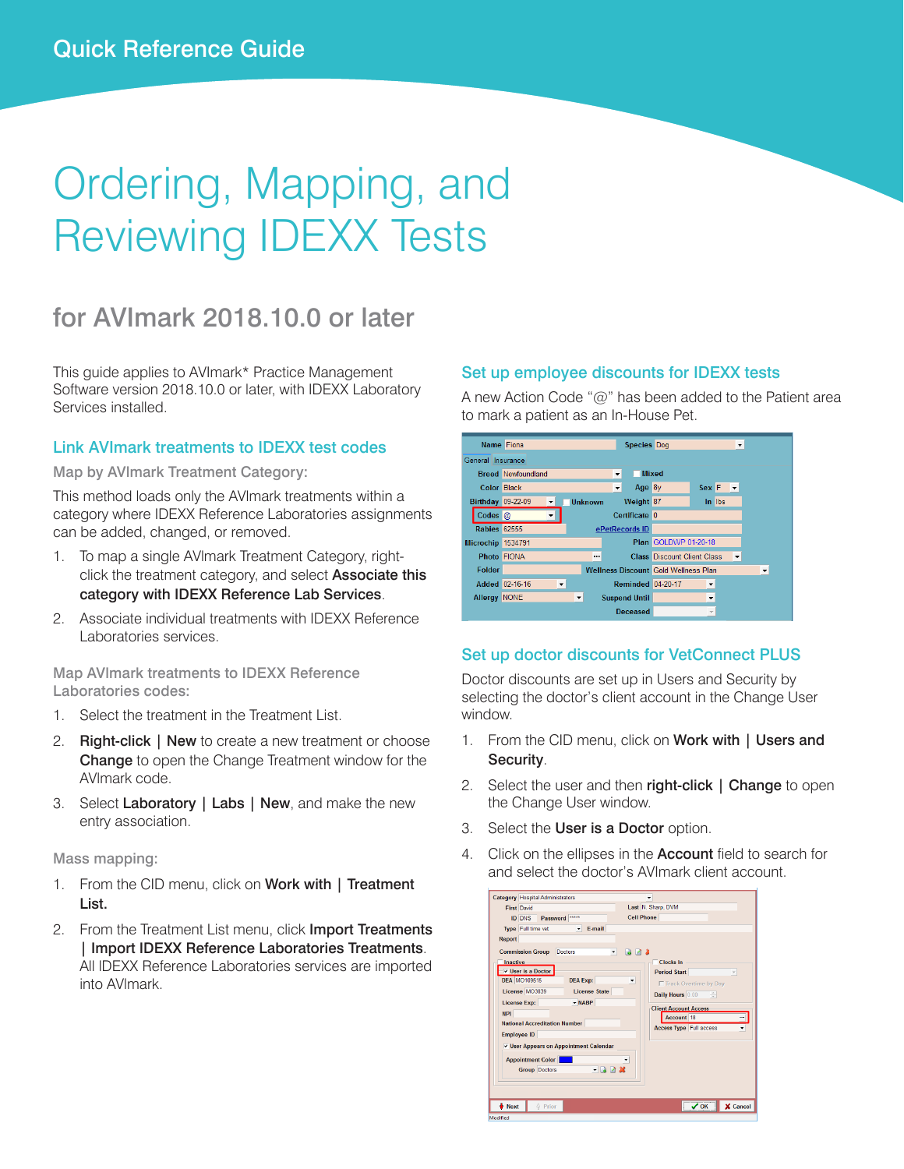# Ordering, Mapping, and Reviewing IDEXX Tests

## for AVImark 2018.10.0 or later

This guide applies to AVImark\* Practice Management Software version 2018.10.0 or later, with IDEXX Laboratory Services installed.

#### Link AVImark treatments to IDEXX test codes

Map by AVlmark Treatment Category:

This method loads only the AVlmark treatments within a category where IDEXX Reference Laboratories assignments can be added, changed, or removed.

- 1. To map a single AVlmark Treatment Category, rightclick the treatment category, and select Associate this category with IDEXX Reference Lab Services.
- 2. Associate individual treatments with IDEXX Reference Laboratories services.

Map AVlmark treatments to IDEXX Reference Laboratories codes:

- 1. Select the treatment in the Treatment List.
- 2. Right-click | New to create a new treatment or choose **Change** to open the Change Treatment window for the AVlmark code.
- 3. Select Laboratory | Labs | New, and make the new entry association.

#### Mass mapping:

- 1. From the CID menu, click on Work with | Treatment List.
- 2. From the Treatment List menu, click Import Treatments | Import IDEXX Reference Laboratories Treatments. All lDEXX Reference Laboratories services are imported into AVlmark.

#### Set up employee discounts for IDEXX tests

A new Action Code "@" has been added to the Patient area to mark a patient as an In-House Pet.



#### Set up doctor discounts for VetConnect PLUS

Doctor discounts are set up in Users and Security by selecting the doctor's client account in the Change User window.

- 1. From the CID menu, click on Work with | Users and Security.
- 2. Select the user and then right-click | Change to open the Change User window.
- 3. Select the User is a Doctor option.
- Click on the ellipses in the **Account** field to search for and select the doctor's AVImark client account.